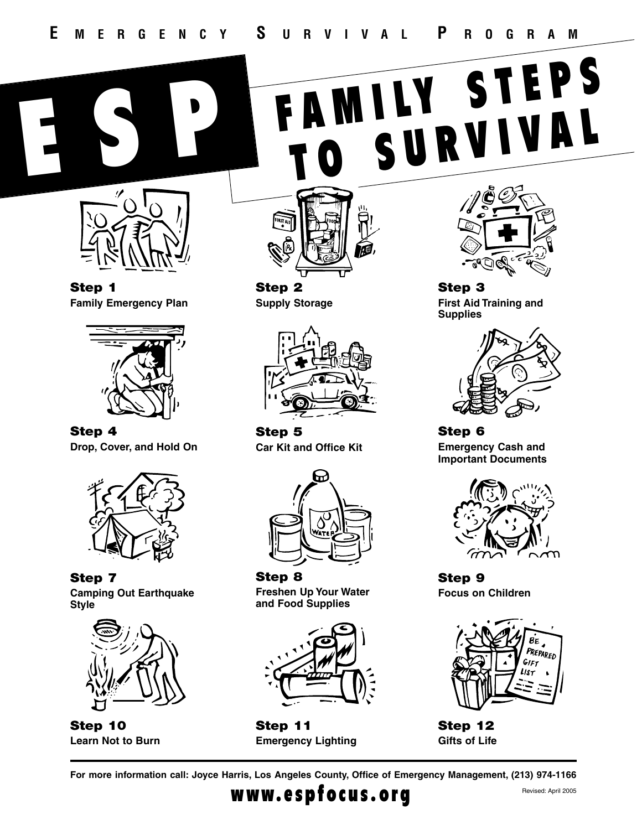

**Step 1 Family Emergency Plan**



**Step 4 Drop, Cover, and Hold On**



**Step 7 Camping Out Earthquake Style**



**Step 10 Learn Not to Burn**



**Step 2 Supply Storage**



**Step 5 Car Kit and Office Kit**



**Step 8 Freshen Up Your Water and Food Supplies**



**Step 11 Emergency Lighting**



**Step 3 First Aid Training and Supplies**

FAMILY STEPS



**Step 6 Emergency Cash and Important Documents**



**Step 9 Focus on Children**



**Step 12 Gifts of Life**

**For more information call: Joyce Harris, Los Angeles County, Office of Emergency Management, (213) 974-1166**

# $WWW.e$  spfocus.org  $R_{\text{evised: April 2005}}$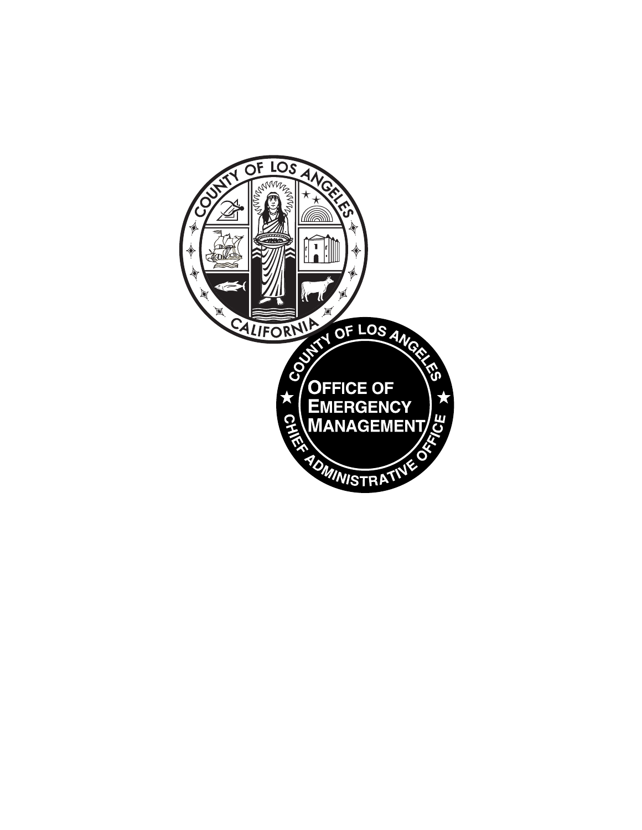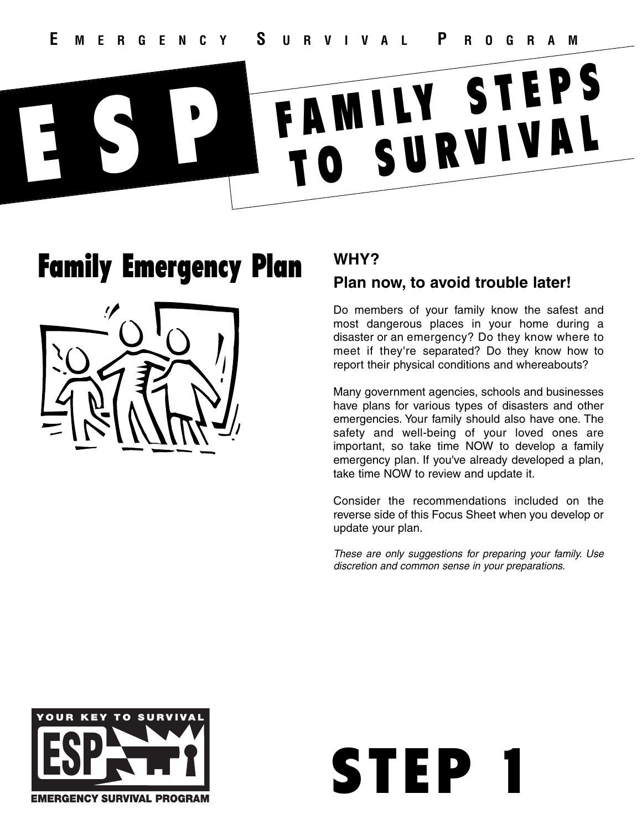# Family Emergency Plan



# **WHY?**

## **Plan now, to avoid trouble later!**

Do members of your family know the safest and most dangerous places in your home during a disaster or an emergency? Do they know where to meet if they're separated? Do they know how to report their physical conditions and whereabouts?

Many government agencies, schools and businesses have plans for various types of disasters and other emergencies. Your family should also have one. The safety and well-being of your loved ones are important, so take time NOW to develop a family emergency plan. If you've already developed a plan, take time NOW to review and update it.

Consider the recommendations included on the reverse side of this Focus Sheet when you develop or update your plan.

*These are only suggestions for preparing your family. Use discretion and common sense in your preparations.*

STEP 1

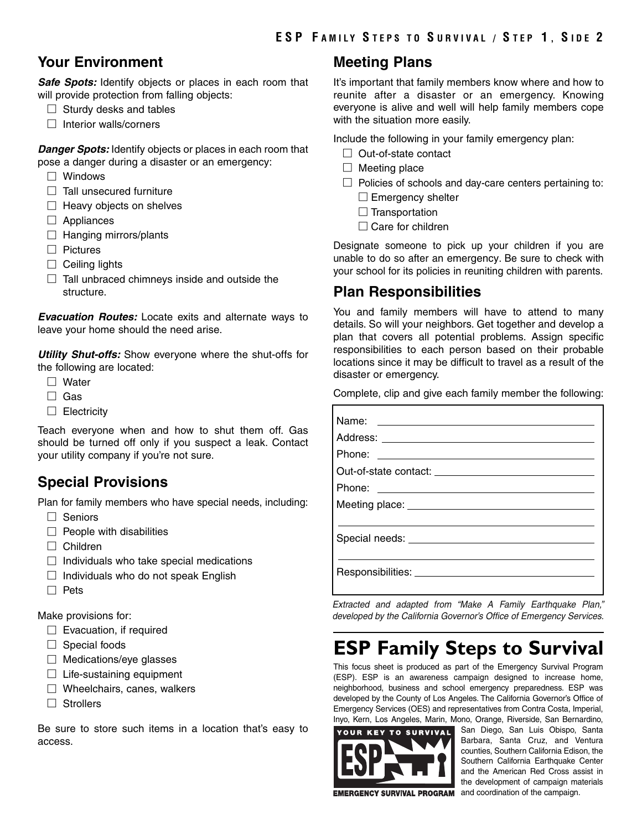### **Your Environment**

**Safe Spots:** Identify objects or places in each room that will provide protection from falling objects:

- $\Box$  Sturdy desks and tables
- $\Box$  Interior walls/corners

*Danger Spots:* Identify objects or places in each room that pose a danger during a disaster or an emergency:

- □ Windows
- $\Box$  Tall unsecured furniture
- $\Box$  Heavy objects on shelves
- $\Box$  Appliances
- $\Box$  Hanging mirrors/plants
- □ Pictures
- $\Box$  Ceiling lights
- $\Box$  Tall unbraced chimneys inside and outside the structure.

*Evacuation Routes:* Locate exits and alternate ways to leave your home should the need arise.

*Utility Shut-offs:* Show everyone where the shut-offs for the following are located:

- □ Water
- □ Gas
- □ Electricitv

Teach everyone when and how to shut them off. Gas should be turned off only if you suspect a leak. Contact your utility company if you're not sure.

### **Special Provisions**

Plan for family members who have special needs, including:

- □ Seniors
- $\Box$  People with disabilities
- □ Children
- $\Box$  Individuals who take special medications
- $\Box$  Individuals who do not speak English
- □ Pets

Make provisions for:

- $\Box$  Evacuation, if required
- $\Box$  Special foods
- $\Box$  Medications/eye glasses
- $\Box$  Life-sustaining equipment
- $\Box$  Wheelchairs, canes, walkers
- □ Strollers

Be sure to store such items in a location that's easy to access.

### **Meeting Plans**

It's important that family members know where and how to reunite after a disaster or an emergency. Knowing everyone is alive and well will help family members cope with the situation more easily.

Include the following in your family emergency plan:

- $\Box$  Out-of-state contact
- $\Box$  Meeting place
- $\Box$  Policies of schools and day-care centers pertaining to:
	- $\square$  Emergency shelter
	- $\square$  Transportation
	- $\Box$  Care for children

Designate someone to pick up your children if you are unable to do so after an emergency. Be sure to check with your school for its policies in reuniting children with parents.

### **Plan Responsibilities**

You and family members will have to attend to many details. So will your neighbors. Get together and develop a plan that covers all potential problems. Assign specific responsibilities to each person based on their probable locations since it may be difficult to travel as a result of the disaster or emergency.

Complete, clip and give each family member the following:

*Extracted and adapted from "Make A Family Earthquake Plan," developed by the California Governor's Office of Emergency Services.*

# **ESP Family Steps to Survival**

This focus sheet is produced as part of the Emergency Survival Program (ESP). ESP is an awareness campaign designed to increase home, neighborhood, business and school emergency preparedness. ESP was developed by the County of Los Angeles. The California Governor's Office of Emergency Services (OES) and representatives from Contra Costa, Imperial, Inyo, Kern, Los Angeles, Marin, Mono, Orange, Riverside, San Bernardino,



San Diego, San Luis Obispo, Santa Barbara, Santa Cruz, and Ventura counties, Southern California Edison, the Southern California Earthquake Center and the American Red Cross assist in the development of campaign materials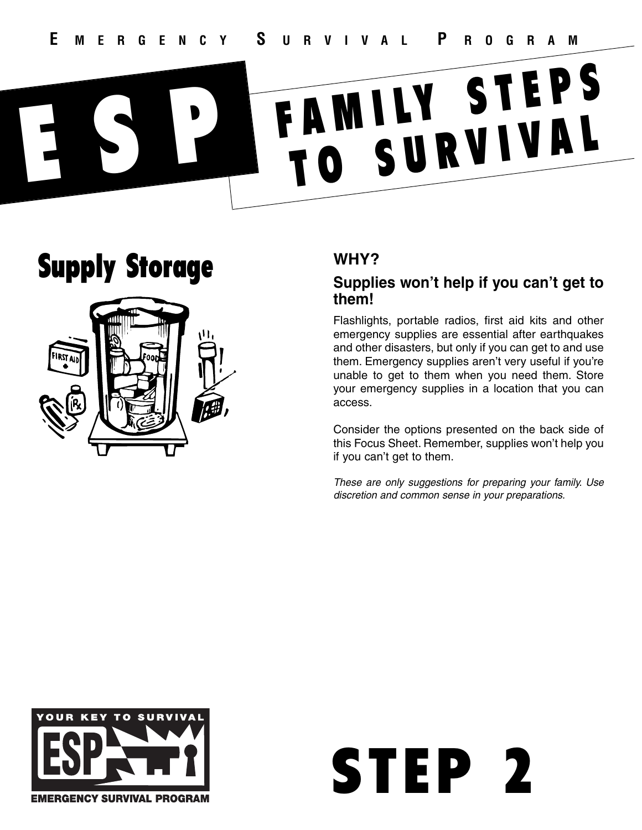# Supply Storage



# **WHY?**

### **Supplies won't help if you can't get to them!**

Flashlights, portable radios, first aid kits and other emergency supplies are essential after earthquakes and other disasters, but only if you can get to and use them. Emergency supplies aren't very useful if you're unable to get to them when you need them. Store your emergency supplies in a location that you can access.

Consider the options presented on the back side of this Focus Sheet. Remember, supplies won't help you if you can't get to them.



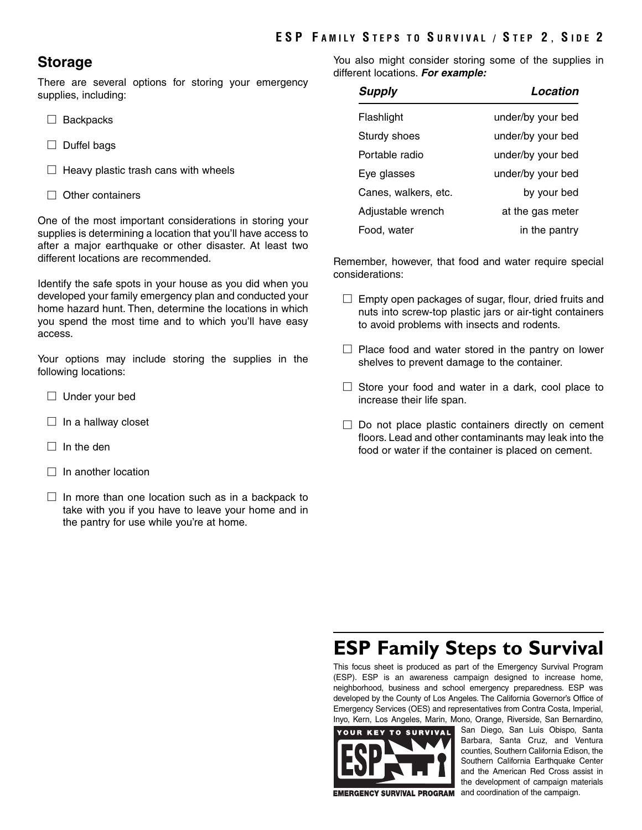### **ESP F AMILY S TEPS TO S URVIVAL / S TEP 2 , S IDE 2**

### **Storage**

There are several options for storing your emergency supplies, including:

- □ Backpacks
- □ Duffel bags
- $\Box$  Heavy plastic trash cans with wheels
- $\Box$  Other containers

One of the most important considerations in storing your supplies is determining a location that you'll have access to after a major earthquake or other disaster. At least two different locations are recommended.

Identify the safe spots in your house as you did when you developed your family emergency plan and conducted your home hazard hunt. Then, determine the locations in which you spend the most time and to which you'll have easy access.

Your options may include storing the supplies in the following locations:

- $\Box$  Under your bed
- $\Box$  In a hallway closet
- $\Box$  In the den
- $\Box$  In another location
- $\Box$  In more than one location such as in a backpack to take with you if you have to leave your home and in the pantry for use while you're at home.

You also might consider storing some of the supplies in different locations. *For example:*

| <b>Supply</b>        | Location          |
|----------------------|-------------------|
| Flashlight           | under/by your bed |
| Sturdy shoes         | under/by your bed |
| Portable radio       | under/by your bed |
| Eye glasses          | under/by your bed |
| Canes, walkers, etc. | by your bed       |
| Adjustable wrench    | at the gas meter  |
| Food, water          | in the pantry     |

Remember, however, that food and water require special considerations:

- $\square$  Empty open packages of sugar, flour, dried fruits and nuts into screw-top plastic jars or air-tight containers to avoid problems with insects and rodents.
- $\Box$  Place food and water stored in the pantry on lower shelves to prevent damage to the container.
- $\Box$  Store your food and water in a dark, cool place to increase their life span.
- $\square$  Do not place plastic containers directly on cement floors. Lead and other contaminants may leak into the food or water if the container is placed on cement.

# **ESP Family Steps to Survival**

This focus sheet is produced as part of the Emergency Survival Program (ESP). ESP is an awareness campaign designed to increase home, neighborhood, business and school emergency preparedness. ESP was developed by the County of Los Angeles. The California Governor's Office of Emergency Services (OES) and representatives from Contra Costa, Imperial, Inyo, Kern, Los Angeles, Marin, Mono, Orange, Riverside, San Bernardino,



San Diego, San Luis Obispo, Santa Barbara, Santa Cruz, and Ventura counties, Southern California Edison, the Southern California Earthquake Center and the American Red Cross assist in the development of campaign materials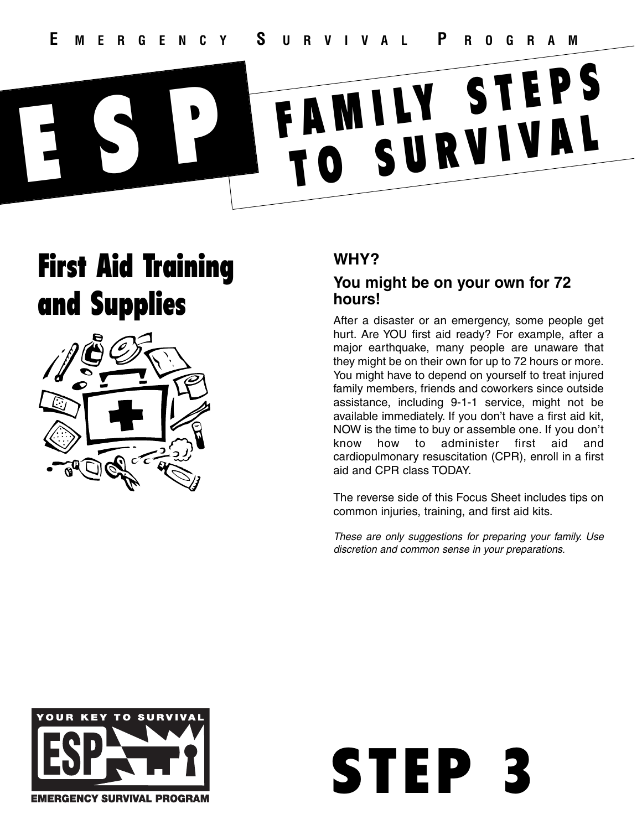# First Aid Training and Supplies



# **WHY?**

### **You might be on your own for 72 hours!**

After a disaster or an emergency, some people get hurt. Are YOU first aid ready? For example, after a major earthquake, many people are unaware that they might be on their own for up to 72 hours or more. You might have to depend on yourself to treat injured family members, friends and coworkers since outside assistance, including 9-1-1 service, might not be available immediately. If you don't have a first aid kit, NOW is the time to buy or assemble one. If you don't know how to administer first aid and cardiopulmonary resuscitation (CPR), enroll in a first aid and CPR class TODAY.

The reverse side of this Focus Sheet includes tips on common injuries, training, and first aid kits.

*These are only suggestions for preparing your family. Use discretion and common sense in your preparations.*

STEP 3

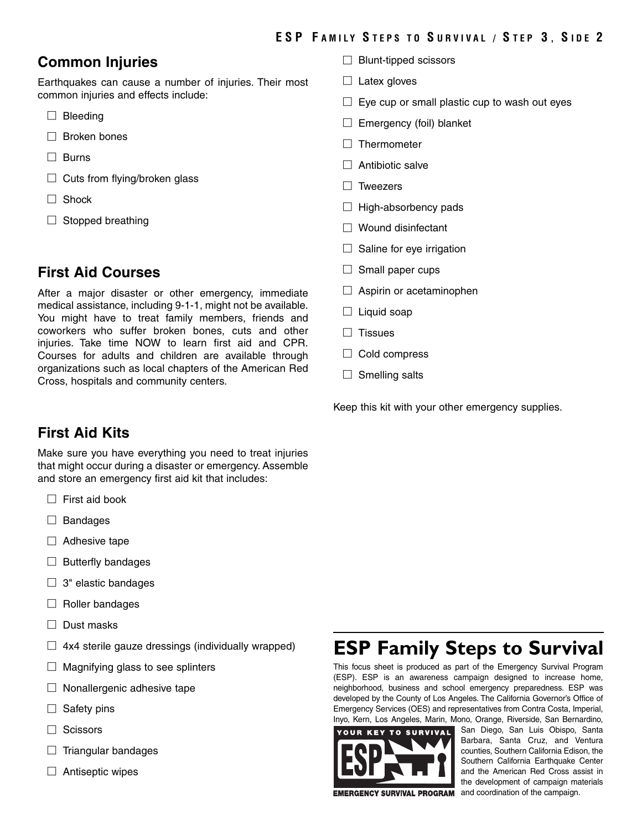## **Common Injuries**

Earthquakes can cause a number of injuries. Their most common injuries and effects include:

- $\square$  Bleeding
- □ Broken bones
- □ Burns
- $\square$  Cuts from flying/broken glass
- □ Shock
- $\Box$  Stopped breathing

## **First Aid Courses**

After a major disaster or other emergency, immediate medical assistance, including 9-1-1, might not be available. You might have to treat family members, friends and coworkers who suffer broken bones, cuts and other injuries. Take time NOW to learn first aid and CPR. Courses for adults and children are available through organizations such as local chapters of the American Red Cross, hospitals and community centers.

- $\Box$  Blunt-tipped scissors
- $\Box$  Latex gloves
- $\square$  Eye cup or small plastic cup to wash out eyes
- $\Box$  Emergency (foil) blanket
- □ Thermometer
- $\Box$  Antibiotic salve
- □ Tweezers
- $\Box$  High-absorbency pads
- □ Wound disinfectant
- $\Box$  Saline for eye irrigation
- $\Box$  Small paper cups
- $\Box$  Aspirin or acetaminophen
- $\Box$  Liquid soap
- □ Tissues
- □ Cold compress
- $\Box$  Smelling salts

Keep this kit with your other emergency supplies.

# **First Aid Kits**

Make sure you have everything you need to treat injuries that might occur during a disaster or emergency. Assemble and store an emergency first aid kit that includes:

- $\Box$  First aid book
- □ Bandages
- $\Box$  Adhesive tape
- $\Box$  Butterfly bandages
- $\Box$  3" elastic bandages
- $\Box$  Roller bandages
- □ Dust masks
- $\Box$  4x4 sterile gauze dressings (individually wrapped)
- $\Box$  Magnifying glass to see splinters
- $\Box$  Nonallergenic adhesive tape
- $\Box$  Safety pins
- □ Scissors
- $\Box$  Triangular bandages
- $\Box$  Antiseptic wipes

# **ESP Family Steps to Survival**

This focus sheet is produced as part of the Emergency Survival Program (ESP). ESP is an awareness campaign designed to increase home, neighborhood, business and school emergency preparedness. ESP was developed by the County of Los Angeles. The California Governor's Office of Emergency Services (OES) and representatives from Contra Costa, Imperial, Inyo, Kern, Los Angeles, Marin, Mono, Orange, Riverside, San Bernardino,



San Diego, San Luis Obispo, Santa Barbara, Santa Cruz, and Ventura counties, Southern California Edison, the Southern California Earthquake Center and the American Red Cross assist in the development of campaign materials **EMERGENCY SURVIVAL PROGRAM** and coordination of the campaign.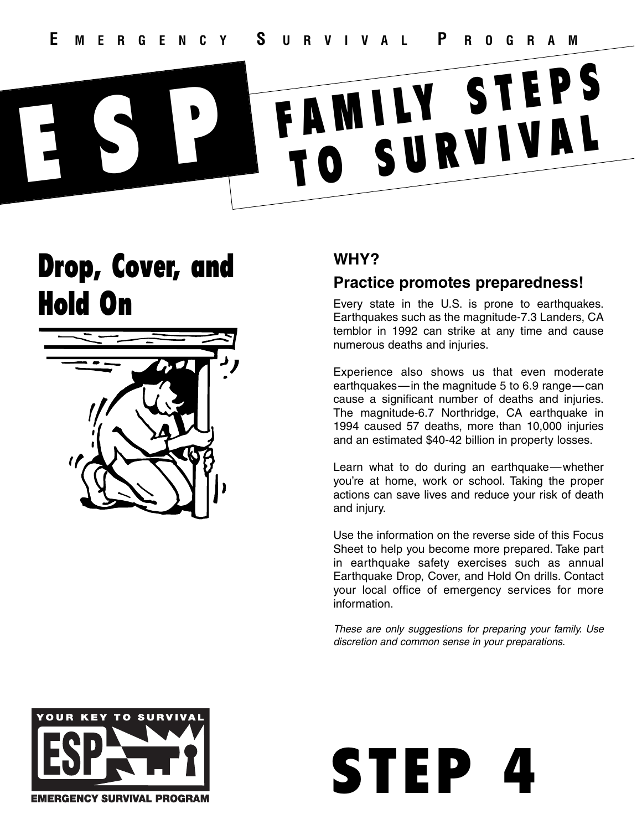# Drop, Cover, and Hold On



# **WHY?**

## **Practice promotes preparedness!**

Every state in the U.S. is prone to earthquakes. Earthquakes such as the magnitude-7.3 Landers, CA temblor in 1992 can strike at any time and cause numerous deaths and injuries.

Experience also shows us that even moderate earthquakes—in the magnitude 5 to 6.9 range—can cause a significant number of deaths and injuries. The magnitude-6.7 Northridge, CA earthquake in 1994 caused 57 deaths, more than 10,000 injuries and an estimated \$40-42 billion in property losses.

Learn what to do during an earthquake—whether you're at home, work or school. Taking the proper actions can save lives and reduce your risk of death and injury.

Use the information on the reverse side of this Focus Sheet to help you become more prepared. Take part in earthquake safety exercises such as annual Earthquake Drop, Cover, and Hold On drills. Contact your local office of emergency services for more information.



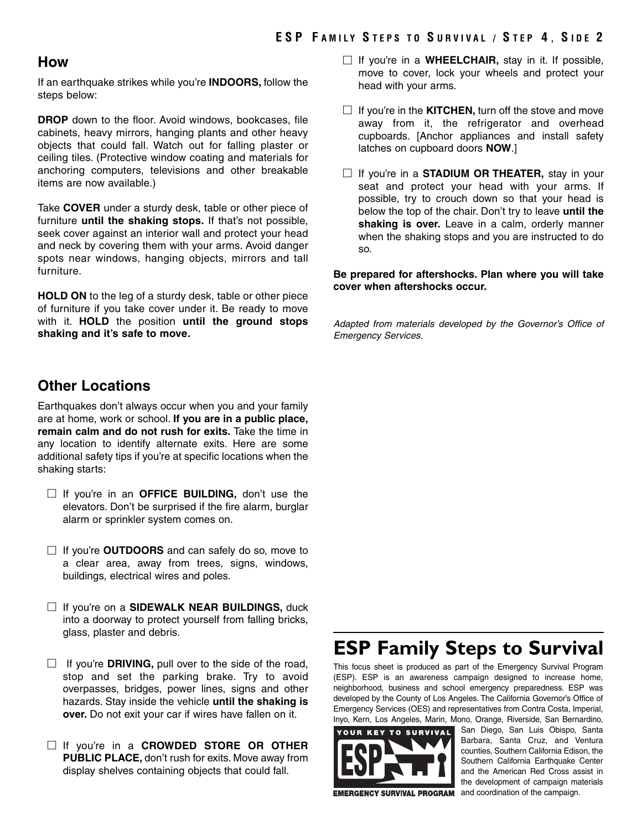#### **How**

If an earthquake strikes while you're **INDOORS,** follow the steps below:

**DROP** down to the floor. Avoid windows, bookcases, file cabinets, heavy mirrors, hanging plants and other heavy objects that could fall. Watch out for falling plaster or ceiling tiles. (Protective window coating and materials for anchoring computers, televisions and other breakable items are now available.)

Take **COVER** under a sturdy desk, table or other piece of furniture **until the shaking stops.** If that's not possible, seek cover against an interior wall and protect your head and neck by covering them with your arms. Avoid danger spots near windows, hanging objects, mirrors and tall furniture.

**HOLD ON** to the leg of a sturdy desk, table or other piece of furniture if you take cover under it. Be ready to move with it. **HOLD** the position **until the ground stops shaking and it's safe to move.**

### **Other Locations**

Earthquakes don't always occur when you and your family are at home, work or school. **If you are in a public place, remain calm and do not rush for exits.** Take the time in any location to identify alternate exits. Here are some additional safety tips if you're at specific locations when the shaking starts:

- □ If you're in an **OFFICE BUILDING**, don't use the elevators. Don't be surprised if the fire alarm, burglar alarm or sprinkler system comes on.
- □ If you're **OUTDOORS** and can safely do so, move to a clear area, away from trees, signs, windows, buildings, electrical wires and poles.
- □ If you're on a **SIDEWALK NEAR BUILDINGS**, duck into a doorway to protect yourself from falling bricks, glass, plaster and debris.
- $\Box$  If you're **DRIVING**, pull over to the side of the road, stop and set the parking brake. Try to avoid overpasses, bridges, power lines, signs and other hazards. Stay inside the vehicle **until the shaking is over.** Do not exit your car if wires have fallen on it.
- □ If you're in a **CROWDED STORE OR OTHER PUBLIC PLACE,** don't rush for exits. Move away from display shelves containing objects that could fall.
- □ If you're in a **WHEELCHAIR,** stay in it. If possible, move to cover, lock your wheels and protect your head with your arms.
- $\Box$  If you're in the **KITCHEN**, turn off the stove and move away from it, the refrigerator and overhead cupboards. [Anchor appliances and install safety latches on cupboard doors **NOW**.]
- □ If you're in a **STADIUM OR THEATER**, stay in your seat and protect your head with your arms. If possible, try to crouch down so that your head is below the top of the chair. Don't try to leave **until the shaking is over.** Leave in a calm, orderly manner when the shaking stops and you are instructed to do so.

**Be prepared for aftershocks. Plan where you will take cover when aftershocks occur.**

*Adapted from materials developed by the Governor's Office of Emergency Services.*

# **ESP Family Steps to Survival**

This focus sheet is produced as part of the Emergency Survival Program (ESP). ESP is an awareness campaign designed to increase home, neighborhood, business and school emergency preparedness. ESP was developed by the County of Los Angeles. The California Governor's Office of Emergency Services (OES) and representatives from Contra Costa, Imperial, Inyo, Kern, Los Angeles, Marin, Mono, Orange, Riverside, San Bernardino,



San Diego, San Luis Obispo, Santa Barbara, Santa Cruz, and Ventura counties, Southern California Edison, the Southern California Earthquake Center and the American Red Cross assist in the development of campaign materials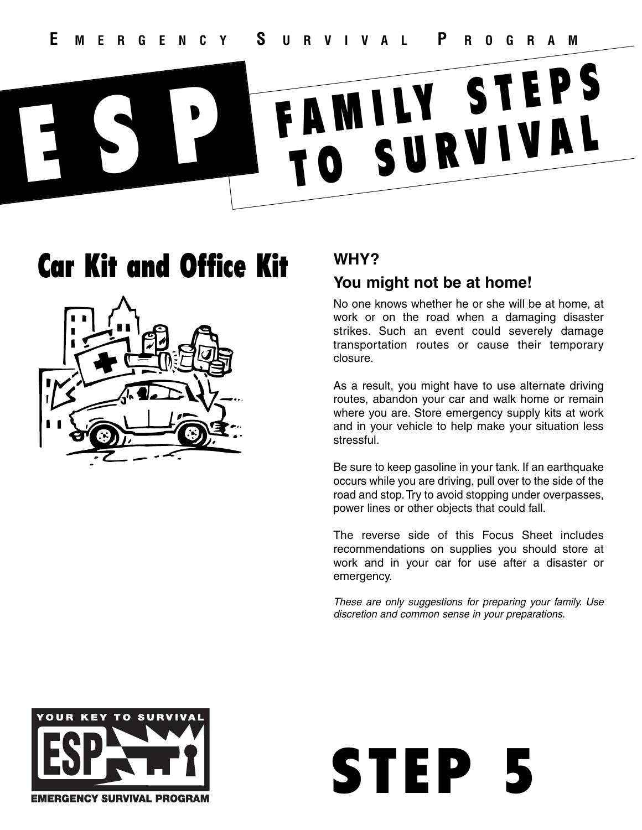# Car Kit and Office Kit



# **WHY?**

# **You might not be at home!**

No one knows whether he or she will be at home, at work or on the road when a damaging disaster strikes. Such an event could severely damage transportation routes or cause their temporary closure.

As a result, you might have to use alternate driving routes, abandon your car and walk home or remain where you are. Store emergency supply kits at work and in your vehicle to help make your situation less stressful.

Be sure to keep gasoline in your tank. If an earthquake occurs while you are driving, pull over to the side of the road and stop. Try to avoid stopping under overpasses, power lines or other objects that could fall.

The reverse side of this Focus Sheet includes recommendations on supplies you should store at work and in your car for use after a disaster or emergency.

*These are only suggestions for preparing your family. Use discretion and common sense in your preparations.*

STEP

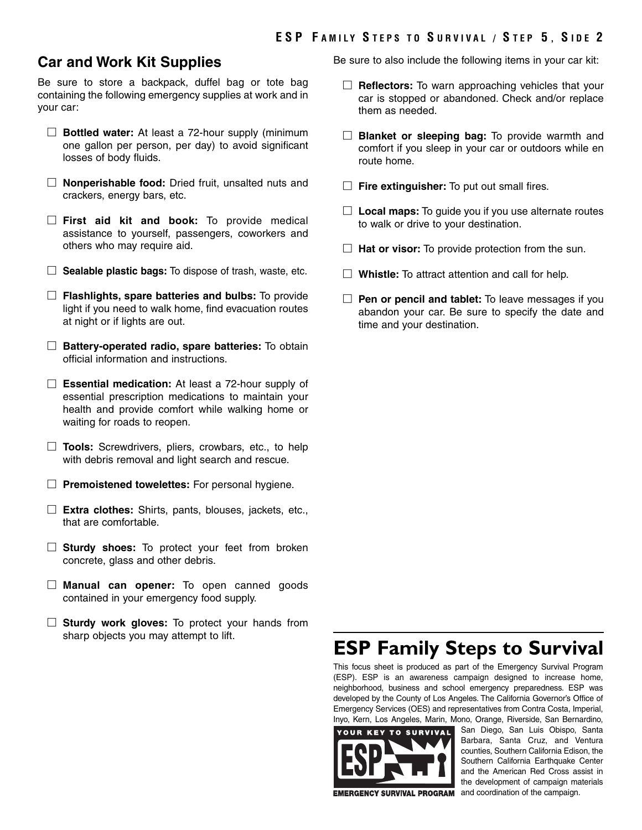### **Car and Work Kit Supplies**

Be sure to store a backpack, duffel bag or tote bag containing the following emergency supplies at work and in your car:

- □ **Bottled water:** At least a 72-hour supply (minimum one gallon per person, per day) to avoid significant losses of body fluids.
- □ **Nonperishable food:** Dried fruit, unsalted nuts and crackers, energy bars, etc.
- □ **First aid kit and book:** To provide medical assistance to yourself, passengers, coworkers and others who may require aid.
- □ **Sealable plastic bags:** To dispose of trash, waste, etc.
- □ Flashlights, spare batteries and bulbs: To provide light if you need to walk home, find evacuation routes at night or if lights are out.
- □ **Battery-operated radio, spare batteries:** To obtain official information and instructions.
- □ **Essential medication:** At least a 72-hour supply of essential prescription medications to maintain your health and provide comfort while walking home or waiting for roads to reopen.
- □ **Tools:** Screwdrivers, pliers, crowbars, etc., to help with debris removal and light search and rescue.
- □ **Premoistened towelettes:** For personal hygiene.
- □ **Extra clothes:** Shirts, pants, blouses, jackets, etc., that are comfortable.
- □ **Sturdy shoes:** To protect your feet from broken concrete, glass and other debris.
- □ **Manual can opener:** To open canned goods contained in your emergency food supply.
- □ **Sturdy work gloves:** To protect your hands from sharp objects you may attempt to lift.

Be sure to also include the following items in your car kit:

- □ **Reflectors:** To warn approaching vehicles that your car is stopped or abandoned. Check and/or replace them as needed.
- □ **Blanket or sleeping bag:** To provide warmth and comfort if you sleep in your car or outdoors while en route home.
- □ **Fire extinguisher:** To put out small fires.
- □ **Local maps:** To guide you if you use alternate routes to walk or drive to your destination.
- □ **Hat or visor:** To provide protection from the sun.
- □ **Whistle:** To attract attention and call for help.
- □ **Pen or pencil and tablet:** To leave messages if you abandon your car. Be sure to specify the date and time and your destination.

# **ESP Family Steps to Survival**

This focus sheet is produced as part of the Emergency Survival Program (ESP). ESP is an awareness campaign designed to increase home, neighborhood, business and school emergency preparedness. ESP was developed by the County of Los Angeles. The California Governor's Office of Emergency Services (OES) and representatives from Contra Costa, Imperial, Inyo, Kern, Los Angeles, Marin, Mono, Orange, Riverside, San Bernardino,



San Diego, San Luis Obispo, Santa Barbara, Santa Cruz, and Ventura counties, Southern California Edison, the Southern California Earthquake Center and the American Red Cross assist in the development of campaign materials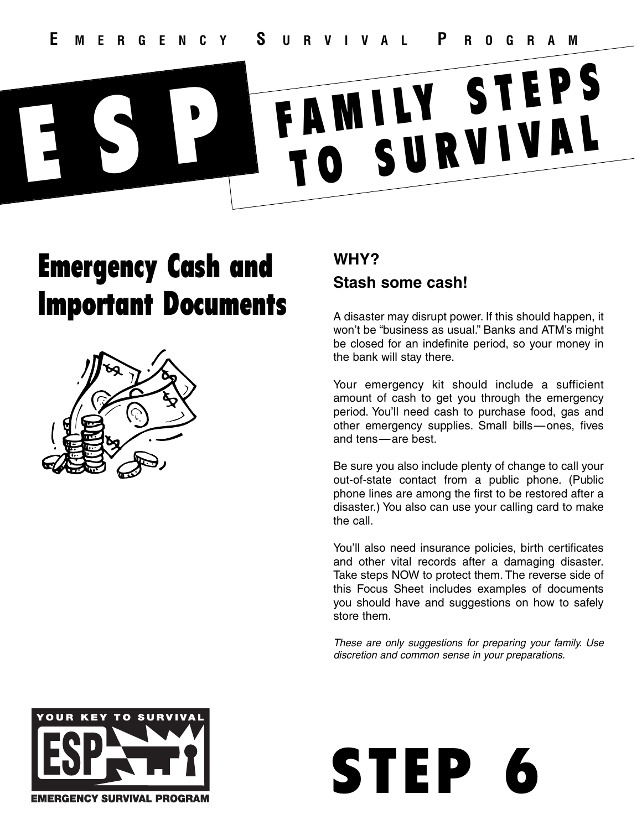# Emergency Cash and Important Documents



# **WHY? Stash some cash!**

A disaster may disrupt power. If this should happen, it won't be "business as usual." Banks and ATM's might be closed for an indefinite period, so your money in the bank will stay there.

Your emergency kit should include a sufficient amount of cash to get you through the emergency period. You'll need cash to purchase food, gas and other emergency supplies. Small bills—ones, fives and tens—are best.

Be sure you also include plenty of change to call your out-of-state contact from a public phone. (Public phone lines are among the first to be restored after a disaster.) You also can use your calling card to make the call.

You'll also need insurance policies, birth certificates and other vital records after a damaging disaster. Take steps NOW to protect them. The reverse side of this Focus Sheet includes examples of documents you should have and suggestions on how to safely store them.



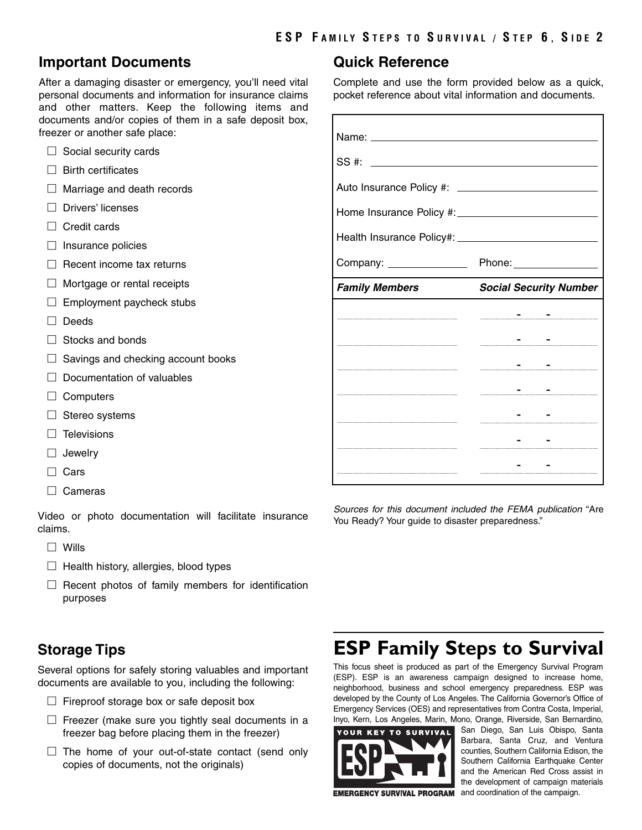### **Important Documents**

After a damaging disaster or emergency, you'll need vital personal documents and information for insurance claims and other matters. Keep the following items and documents and/or copies of them in a safe deposit box, freezer or another safe place:

- $\Box$  Social security cards
- $\Box$  Birth certificates
- □ Marriage and death records
- □ Drivers' licenses
- $\Box$  Credit cards
- $\Box$  Insurance policies
- $\Box$  Recent income tax returns
- $\Box$  Mortgage or rental receipts
- $\Box$  Employment paycheck stubs
- □ Deeds
- $\Box$  Stocks and bonds
- $\Box$  Savings and checking account books
- $\Box$  Documentation of valuables
- □ Computers
- □ Stereo systems
- $\Box$  Televisions
- □ Jewelry
- □ Cars
- □ Cameras

Video or photo documentation will facilitate insurance claims.

- □ Wills
- $\Box$  Health history, allergies, blood types
- $\Box$  Recent photos of family members for identification purposes

## **Storage Tips**

Several options for safely storing valuables and important documents are available to you, including the following:

- $\Box$  Fireproof storage box or safe deposit box
- $\square$  Freezer (make sure you tightly seal documents in a freezer bag before placing them in the freezer)
- $\Box$  The home of your out-of-state contact (send only copies of documents, not the originals)

### **Quick Reference**

Complete and use the form provided below as a quick, pocket reference about vital information and documents.

| SS#:                                  |                               |
|---------------------------------------|-------------------------------|
|                                       |                               |
|                                       |                               |
|                                       |                               |
| Company: <u>_____________________</u> | Phone: ________________       |
| <b>Family Members</b>                 | <b>Social Security Number</b> |
|                                       |                               |
|                                       |                               |
|                                       |                               |
|                                       |                               |
|                                       |                               |
|                                       |                               |
|                                       |                               |

*Sources for this document included the FEMA publication* "Are You Ready? Your guide to disaster preparedness."

# **ESP Family Steps to Survival**

This focus sheet is produced as part of the Emergency Survival Program (ESP). ESP is an awareness campaign designed to increase home, neighborhood, business and school emergency preparedness. ESP was developed by the County of Los Angeles. The California Governor's Office of Emergency Services (OES) and representatives from Contra Costa, Imperial, Inyo, Kern, Los Angeles, Marin, Mono, Orange, Riverside, San Bernardino,



San Diego, San Luis Obispo, Santa Barbara, Santa Cruz, and Ventura counties, Southern California Edison, the Southern California Earthquake Center and the American Red Cross assist in the development of campaign materials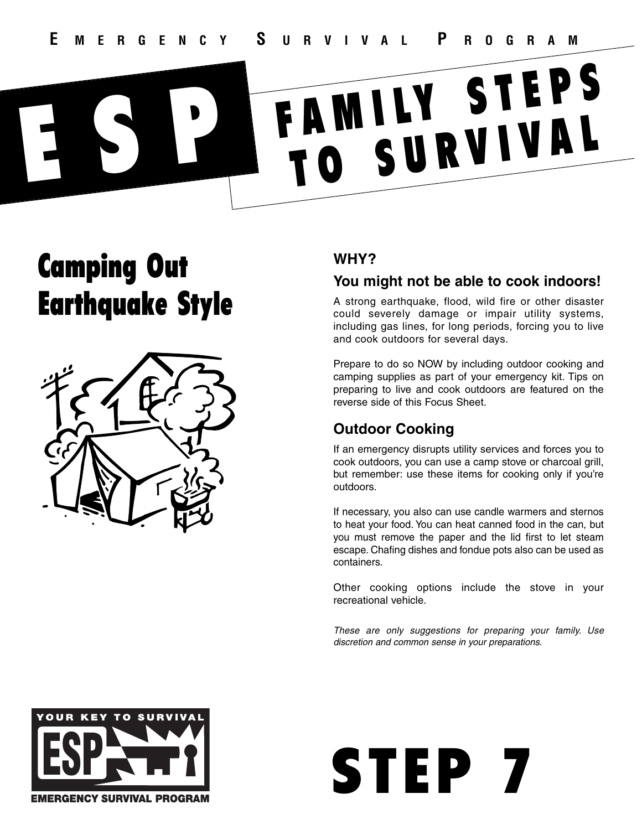# Camping Out Earthquake Style



# **WHY?**

## **You might not be able to cook indoors!**

A strong earthquake, flood, wild fire or other disaster could severely damage or impair utility systems, including gas lines, for long periods, forcing you to live and cook outdoors for several days.

Prepare to do so NOW by including outdoor cooking and camping supplies as part of your emergency kit. Tips on preparing to live and cook outdoors are featured on the reverse side of this Focus Sheet.

# **Outdoor Cooking**

If an emergency disrupts utility services and forces you to cook outdoors, you can use a camp stove or charcoal grill, but remember: use these items for cooking only if you're outdoors.

If necessary, you also can use candle warmers and sternos to heat your food. You can heat canned food in the can, but you must remove the paper and the lid first to let steam escape. Chafing dishes and fondue pots also can be used as containers.

Other cooking options include the stove in your recreational vehicle.



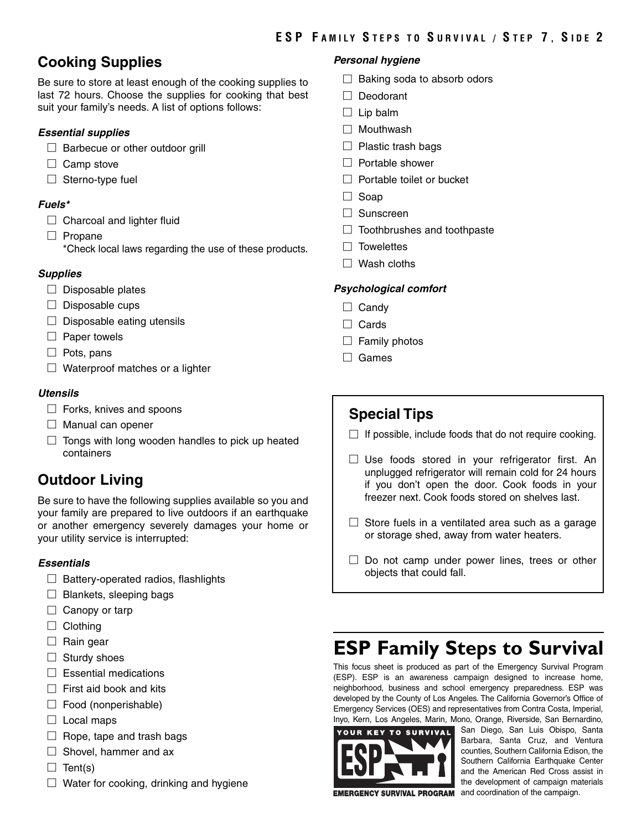# **Cooking Supplies**

Be sure to store at least enough of the cooking supplies to last 72 hours. Choose the supplies for cooking that best suit your family's needs. A list of options follows:

#### *Essential supplies*

- $\Box$  Barbecue or other outdoor grill
- □ Camp stove
- $\Box$  Sterno-type fuel

#### *Fuels\**

- $\Box$  Charcoal and lighter fluid
- □ Propane
	- \*Check local laws regarding the use of these products.

#### *Supplies*

- $\Box$  Disposable plates
- $\Box$  Disposable cups
- $\Box$  Disposable eating utensils
- $\Box$  Paper towels
- □ Pots, pans
- $\Box$  Waterproof matches or a lighter

#### *Utensils*

- $\Box$  Forks, knives and spoons
- $\Box$  Manual can opener
- $\Box$  Tongs with long wooden handles to pick up heated containers

# **Outdoor Living**

Be sure to have the following supplies available so you and your family are prepared to live outdoors if an earthquake or another emergency severely damages your home or your utility service is interrupted:

#### *Essentials*

- $\Box$  Battery-operated radios, flashlights
- $\Box$  Blankets, sleeping bags
- $\Box$  Canopy or tarp
- □ Clothing
- $\Box$  Rain gear
- $\Box$  Sturdy shoes
- $\Box$  Essential medications
- $\Box$  First aid book and kits
- $\Box$  Food (nonperishable)
- $\Box$  Local maps
- $\Box$  Rope, tape and trash bags
- $\Box$  Shovel, hammer and ax
- $\Box$  Tent(s)
- $\Box$  Water for cooking, drinking and hygiene

#### *Personal hygiene*

- $\Box$  Baking soda to absorb odors
- □ Deodorant
- $\square$  Lip balm
- □ Mouthwash
- $\Box$  Plastic trash bags
- □ Portable shower
- □ Portable toilet or bucket
- □ Soap
- □ Sunscreen
- $\Box$  Toothbrushes and toothpaste
- $\square$  Towelettes
- $\Box$  Wash cloths

#### *Psychological comfort*

- □ Candy
- □ Cards
- $\Box$  Family photos
- □ Games

## **Special Tips**

- $\Box$  If possible, include foods that do not require cooking.
- $\square$  Use foods stored in your refrigerator first. An unplugged refrigerator will remain cold for 24 hours if you don't open the door. Cook foods in your freezer next. Cook foods stored on shelves last.
- $\Box$  Store fuels in a ventilated area such as a garage or storage shed, away from water heaters.
- $\square$  Do not camp under power lines, trees or other objects that could fall.

# **ESP Family Steps to Survival**

This focus sheet is produced as part of the Emergency Survival Program (ESP). ESP is an awareness campaign designed to increase home, neighborhood, business and school emergency preparedness. ESP was developed by the County of Los Angeles. The California Governor's Office of Emergency Services (OES) and representatives from Contra Costa, Imperial, Inyo, Kern, Los Angeles, Marin, Mono, Orange, Riverside, San Bernardino,



San Diego, San Luis Obispo, Santa Barbara, Santa Cruz, and Ventura counties, Southern California Edison, the Southern California Earthquake Center and the American Red Cross assist in the development of campaign materials **EMERGENCY SURVIVAL PROGRAM** and coordination of the campaign.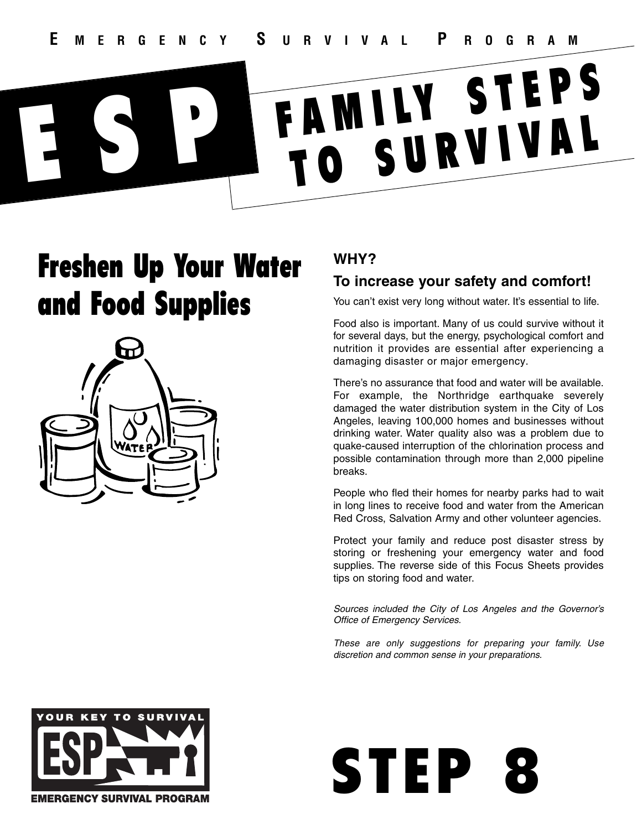# Freshen Up Your Water and Food Supplies



# **WHY?**

# **To increase your safety and comfort!**

You can't exist very long without water. It's essential to life.

Food also is important. Many of us could survive without it for several days, but the energy, psychological comfort and nutrition it provides are essential after experiencing a damaging disaster or major emergency.

There's no assurance that food and water will be available. For example, the Northridge earthquake severely damaged the water distribution system in the City of Los Angeles, leaving 100,000 homes and businesses without drinking water. Water quality also was a problem due to quake-caused interruption of the chlorination process and possible contamination through more than 2,000 pipeline breaks.

People who fled their homes for nearby parks had to wait in long lines to receive food and water from the American Red Cross, Salvation Army and other volunteer agencies.

Protect your family and reduce post disaster stress by storing or freshening your emergency water and food supplies. The reverse side of this Focus Sheets provides tips on storing food and water.

*Sources included the City of Los Angeles and the Governor's Office of Emergency Services.*



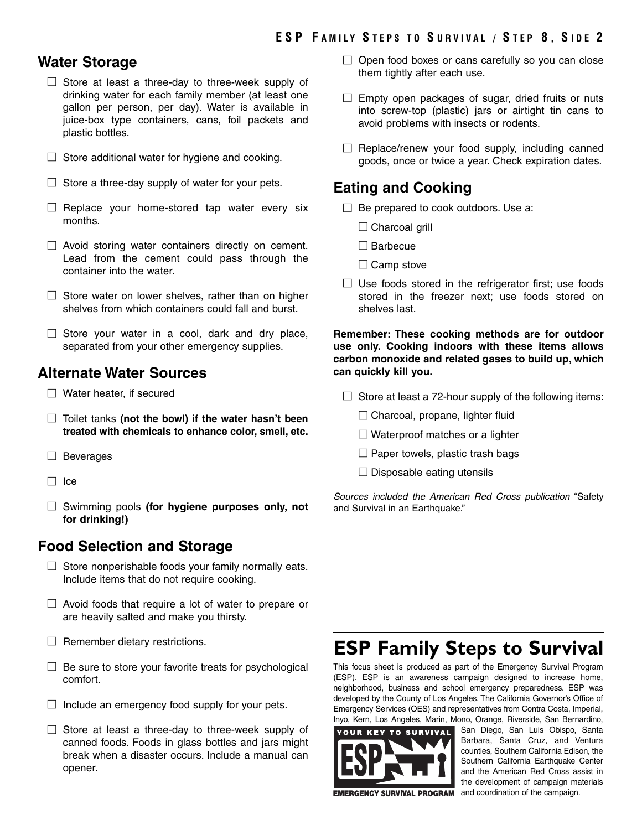### **Water Storage**

- $\square$  Store at least a three-day to three-week supply of drinking water for each family member (at least one gallon per person, per day). Water is available in juice-box type containers, cans, foil packets and plastic bottles.
- $\Box$  Store additional water for hygiene and cooking.
- $\Box$  Store a three-day supply of water for your pets.
- $\Box$  Replace your home-stored tap water every six months.
- $\Box$  Avoid storing water containers directly on cement. Lead from the cement could pass through the container into the water.
- $\square$  Store water on lower shelves, rather than on higher shelves from which containers could fall and burst.
- $\Box$  Store your water in a cool, dark and dry place, separated from your other emergency supplies.

### **Alternate Water Sources**

- □ Water heater, if secured
- □ Toilet tanks **(not the bowl) if the water hasn't been treated with chemicals to enhance color, smell, etc.**
- □ Beverages
- □ Ice
- □ Swimming pools **(for hygiene purposes only, not for drinking!)**

### **Food Selection and Storage**

- $\Box$  Store nonperishable foods your family normally eats. Include items that do not require cooking.
- $\Box$  Avoid foods that require a lot of water to prepare or are heavily salted and make you thirsty.
- $\Box$  Remember dietary restrictions.
- $\Box$  Be sure to store your favorite treats for psychological comfort.
- $\Box$  Include an emergency food supply for your pets.
- $\square$  Store at least a three-day to three-week supply of canned foods. Foods in glass bottles and jars might break when a disaster occurs. Include a manual can opener.
- $\Box$  Open food boxes or cans carefully so you can close them tightly after each use.
- $\square$  Empty open packages of sugar, dried fruits or nuts into screw-top (plastic) jars or airtight tin cans to avoid problems with insects or rodents.
- $\square$  Replace/renew your food supply, including canned goods, once or twice a year. Check expiration dates.

### **Eating and Cooking**

- $\Box$  Be prepared to cook outdoors. Use a:
	- $\Box$  Charcoal grill
	- □ Barbecue
	- $\square$  Camp stove
- $\Box$  Use foods stored in the refrigerator first; use foods stored in the freezer next; use foods stored on shelves last.

**Remember: These cooking methods are for outdoor use only. Cooking indoors with these items allows carbon monoxide and related gases to build up, which can quickly kill you.**

- $\Box$  Store at least a 72-hour supply of the following items:
	- $\Box$  Charcoal, propane, lighter fluid
	- $\Box$  Waterproof matches or a lighter
	- $\square$  Paper towels, plastic trash bags
	- $\square$  Disposable eating utensils

*Sources included the American Red Cross publication* "Safety and Survival in an Earthquake."

# **ESP Family Steps to Survival**

This focus sheet is produced as part of the Emergency Survival Program (ESP). ESP is an awareness campaign designed to increase home, neighborhood, business and school emergency preparedness. ESP was developed by the County of Los Angeles. The California Governor's Office of Emergency Services (OES) and representatives from Contra Costa, Imperial, Inyo, Kern, Los Angeles, Marin, Mono, Orange, Riverside, San Bernardino,



San Diego, San Luis Obispo, Santa Barbara, Santa Cruz, and Ventura counties, Southern California Edison, the Southern California Earthquake Center and the American Red Cross assist in the development of campaign materials **EMERGENCY SURVIVAL PROGRAM** and coordination of the campaign.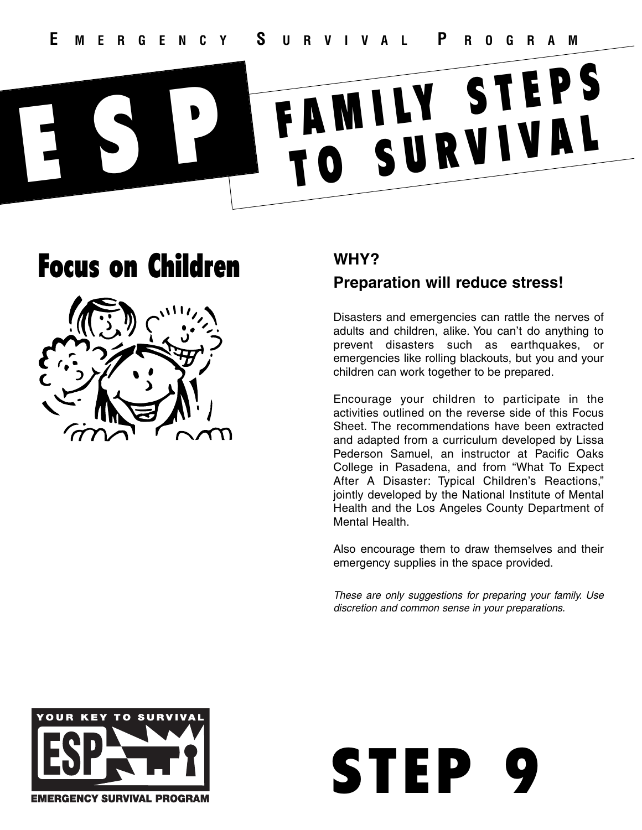# Focus on Children



# **WHY?**

# **Preparation will reduce stress!**

Disasters and emergencies can rattle the nerves of adults and children, alike. You can't do anything to prevent disasters such as earthquakes, or emergencies like rolling blackouts, but you and your children can work together to be prepared.

Encourage your children to participate in the activities outlined on the reverse side of this Focus Sheet. The recommendations have been extracted and adapted from a curriculum developed by Lissa Pederson Samuel, an instructor at Pacific Oaks College in Pasadena, and from "What To Expect After A Disaster: Typical Children's Reactions," jointly developed by the National Institute of Mental Health and the Los Angeles County Department of Mental Health.

Also encourage them to draw themselves and their emergency supplies in the space provided.



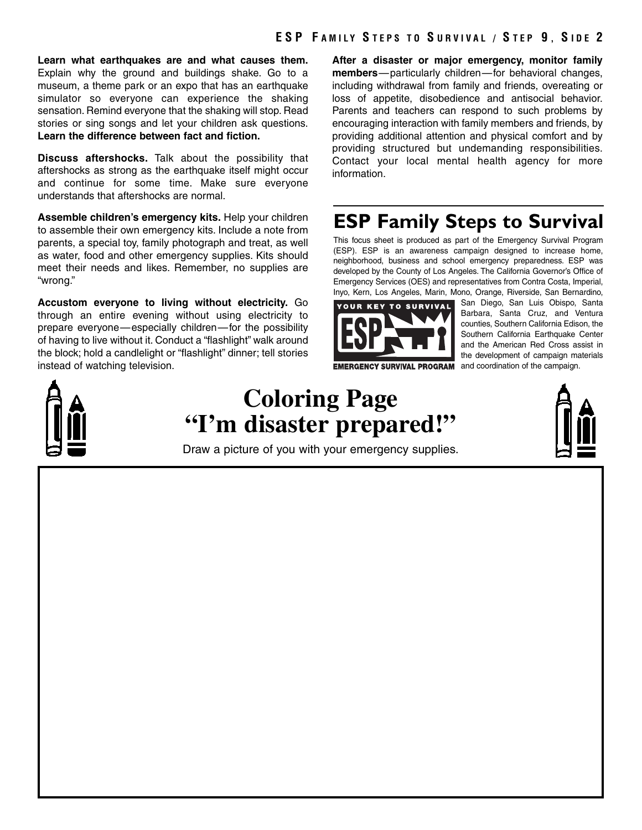**Learn what earthquakes are and what causes them.** Explain why the ground and buildings shake. Go to a museum, a theme park or an expo that has an earthquake simulator so everyone can experience the shaking sensation. Remind everyone that the shaking will stop. Read stories or sing songs and let your children ask questions. **Learn the difference between fact and fiction.**

**Discuss aftershocks.** Talk about the possibility that aftershocks as strong as the earthquake itself might occur and continue for some time. Make sure everyone understands that aftershocks are normal.

**Assemble children's emergency kits.** Help your children to assemble their own emergency kits. Include a note from parents, a special toy, family photograph and treat, as well as water, food and other emergency supplies. Kits should meet their needs and likes. Remember, no supplies are "wrong."

**Accustom everyone to living without electricity.** Go through an entire evening without using electricity to prepare everyone—especially children—for the possibility of having to live without it. Conduct a "flashlight" walk around the block; hold a candlelight or "flashlight" dinner; tell stories instead of watching television.

**After a disaster or major emergency, monitor family members**—particularly children—for behavioral changes, including withdrawal from family and friends, overeating or loss of appetite, disobedience and antisocial behavior. Parents and teachers can respond to such problems by encouraging interaction with family members and friends, by providing additional attention and physical comfort and by providing structured but undemanding responsibilities. Contact your local mental health agency for more information.

# **ESP Family Steps to Survival**

This focus sheet is produced as part of the Emergency Survival Program (ESP). ESP is an awareness campaign designed to increase home, neighborhood, business and school emergency preparedness. ESP was developed by the County of Los Angeles. The California Governor's Office of Emergency Services (OES) and representatives from Contra Costa, Imperial, Inyo, Kern, Los Angeles, Marin, Mono, Orange, Riverside, San Bernardino,



**EMERGENCY SURVIVAL PROGRAM** and coordination of the campaign.

San Diego, San Luis Obispo, Santa Barbara, Santa Cruz, and Ventura counties, Southern California Edison, the Southern California Earthquake Center and the American Red Cross assist in the development of campaign materials



# **Coloring Page "I'm disaster prepared!"**

Draw a picture of you with your emergency supplies.

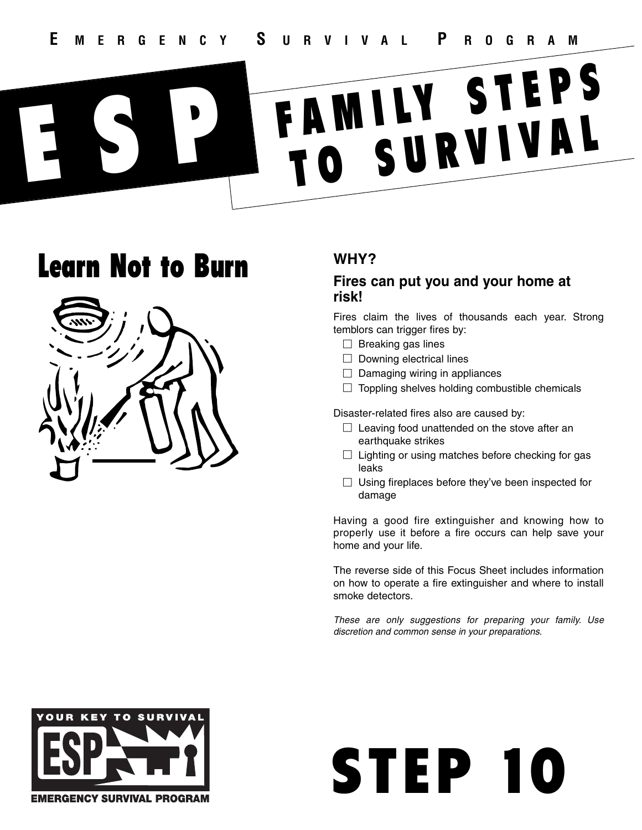# Learn Not to Burn



## **WHY?**

### **Fires can put you and your home at risk!**

Fires claim the lives of thousands each year. Strong temblors can trigger fires by:

- $\Box$  Breaking gas lines
- $\Box$  Downing electrical lines
- $\Box$  Damaging wiring in appliances
- $\Box$  Toppling shelves holding combustible chemicals

Disaster-related fires also are caused by:

- $\Box$  Leaving food unattended on the stove after an earthquake strikes
- $\Box$  Lighting or using matches before checking for gas leaks
- $\Box$  Using fireplaces before they've been inspected for damage

Having a good fire extinguisher and knowing how to properly use it before a fire occurs can help save your home and your life.

The reverse side of this Focus Sheet includes information on how to operate a fire extinguisher and where to install smoke detectors.



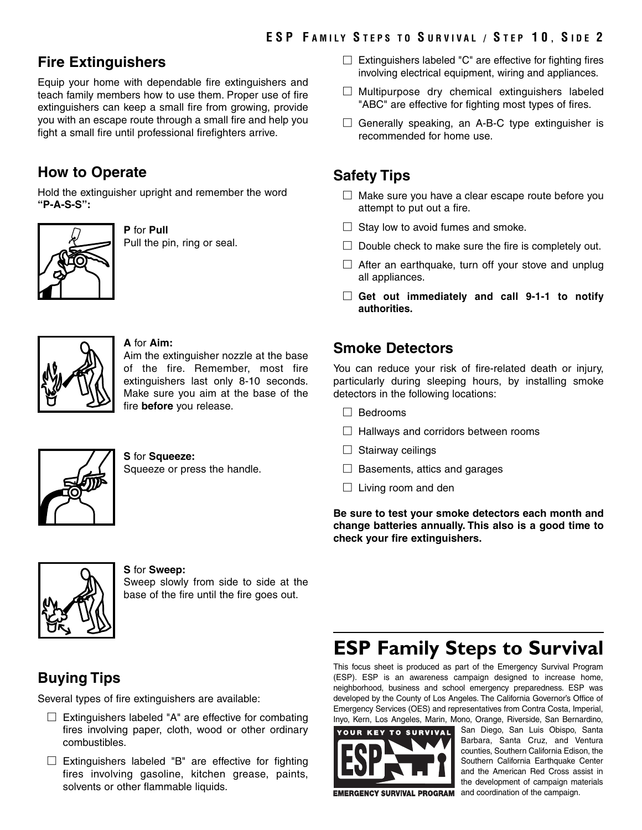## **Fire Extinguishers**

Equip your home with dependable fire extinguishers and teach family members how to use them. Proper use of fire extinguishers can keep a small fire from growing, provide you with an escape route through a small fire and help you fight a small fire until professional firefighters arrive.

# **How to Operate**

Hold the extinguisher upright and remember the word **"P-A-S-S":**



**P** for **Pull** Pull the pin, ring or seal.



#### **A** for **Aim:**

Aim the extinguisher nozzle at the base of the fire. Remember, most fire extinguishers last only 8-10 seconds. Make sure you aim at the base of the fire **before** you release.



**S** for **Squeeze:** Squeeze or press the handle.



#### **S** for **Sweep:**

Sweep slowly from side to side at the base of the fire until the fire goes out.

# **Buying Tips**

Several types of fire extinguishers are available:

- $\Box$  Extinguishers labeled "A" are effective for combating fires involving paper, cloth, wood or other ordinary combustibles.
- $\Box$  Extinguishers labeled "B" are effective for fighting fires involving gasoline, kitchen grease, paints, solvents or other flammable liquids.
- $\Box$  Extinguishers labeled "C" are effective for fighting fires involving electrical equipment, wiring and appliances.
- $\square$  Multipurpose dry chemical extinguishers labeled "ABC" are effective for fighting most types of fires.
- $\Box$  Generally speaking, an A-B-C type extinguisher is recommended for home use.

## **Safety Tips**

- $\Box$  Make sure you have a clear escape route before you attempt to put out a fire.
- $\Box$  Stay low to avoid fumes and smoke.
- $\Box$  Double check to make sure the fire is completely out.
- $\Box$  After an earthquake, turn off your stove and unplug all appliances.
- □ **Get out immediately and call 9-1-1 to notify authorities.**

## **Smoke Detectors**

You can reduce your risk of fire-related death or injury, particularly during sleeping hours, by installing smoke detectors in the following locations:

- □ Bedrooms
- $\Box$  Hallways and corridors between rooms
- $\Box$  Stairway ceilings
- $\Box$  Basements, attics and garages
- $\Box$  Living room and den

**Be sure to test your smoke detectors each month and change batteries annually. This also is a good time to check your fire extinguishers.**

# **ESP Family Steps to Survival**

This focus sheet is produced as part of the Emergency Survival Program (ESP). ESP is an awareness campaign designed to increase home, neighborhood, business and school emergency preparedness. ESP was developed by the County of Los Angeles. The California Governor's Office of Emergency Services (OES) and representatives from Contra Costa, Imperial, Inyo, Kern, Los Angeles, Marin, Mono, Orange, Riverside, San Bernardino,



San Diego, San Luis Obispo, Santa Barbara, Santa Cruz, and Ventura counties, Southern California Edison, the Southern California Earthquake Center and the American Red Cross assist in the development of campaign materials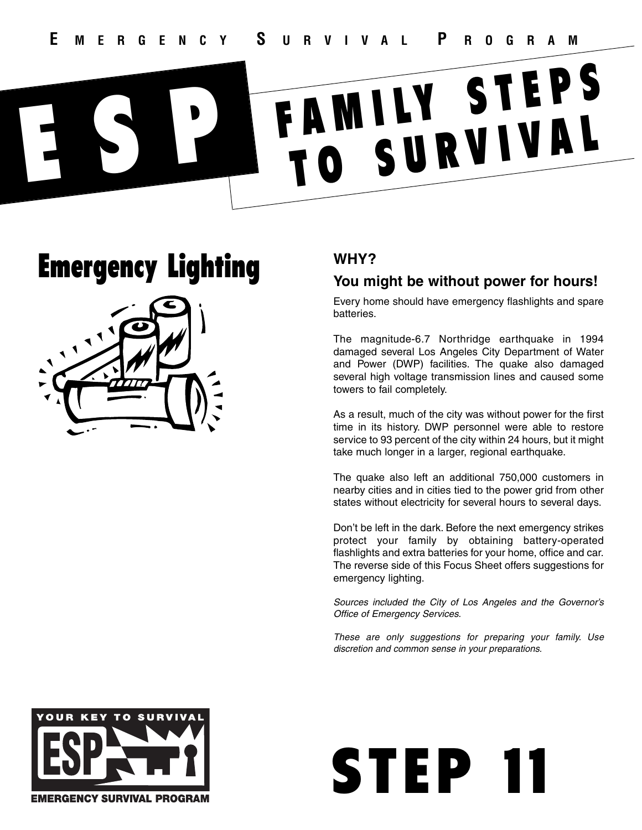# Emergency Lighting



# **WHY?**

## **You might be without power for hours!**

Every home should have emergency flashlights and spare batteries.

The magnitude-6.7 Northridge earthquake in 1994 damaged several Los Angeles City Department of Water and Power (DWP) facilities. The quake also damaged several high voltage transmission lines and caused some towers to fail completely.

As a result, much of the city was without power for the first time in its history. DWP personnel were able to restore service to 93 percent of the city within 24 hours, but it might take much longer in a larger, regional earthquake.

The quake also left an additional 750,000 customers in nearby cities and in cities tied to the power grid from other states without electricity for several hours to several days.

Don't be left in the dark. Before the next emergency strikes protect your family by obtaining battery-operated flashlights and extra batteries for your home, office and car. The reverse side of this Focus Sheet offers suggestions for emergency lighting.

*Sources included the City of Los Angeles and the Governor's Office of Emergency Services.*



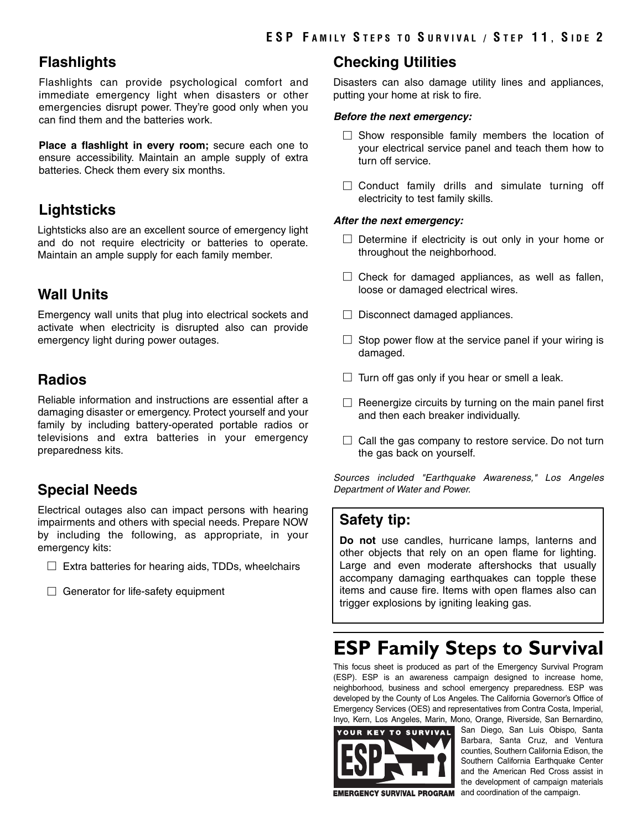### **Flashlights**

Flashlights can provide psychological comfort and immediate emergency light when disasters or other emergencies disrupt power. They're good only when you can find them and the batteries work.

**Place a flashlight in every room;** secure each one to ensure accessibility. Maintain an ample supply of extra batteries. Check them every six months.

# **Lightsticks**

Lightsticks also are an excellent source of emergency light and do not require electricity or batteries to operate. Maintain an ample supply for each family member.

## **Wall Units**

Emergency wall units that plug into electrical sockets and activate when electricity is disrupted also can provide emergency light during power outages.

# **Radios**

Reliable information and instructions are essential after a damaging disaster or emergency. Protect yourself and your family by including battery-operated portable radios or televisions and extra batteries in your emergency preparedness kits.

# **Special Needs**

Electrical outages also can impact persons with hearing impairments and others with special needs. Prepare NOW by including the following, as appropriate, in your emergency kits:

- $\Box$  Extra batteries for hearing aids, TDDs, wheelchairs
- $\Box$  Generator for life-safety equipment

### **Checking Utilities**

Disasters can also damage utility lines and appliances, putting your home at risk to fire.

#### *Before the next emergency:*

- $\square$  Show responsible family members the location of your electrical service panel and teach them how to turn off service.
- $\square$  Conduct family drills and simulate turning off electricity to test family skills.

#### *After the next emergency:*

- $\square$  Determine if electricity is out only in your home or throughout the neighborhood.
- $\Box$  Check for damaged appliances, as well as fallen, loose or damaged electrical wires.
- $\Box$  Disconnect damaged appliances.
- $\square$  Stop power flow at the service panel if your wiring is damaged.
- $\Box$  Turn off gas only if you hear or smell a leak.
- $\Box$  Reenergize circuits by turning on the main panel first and then each breaker individually.
- $\Box$  Call the gas company to restore service. Do not turn the gas back on yourself.

*Sources included "Earthquake Awareness," Los Angeles Department of Water and Power.*

## **Safety tip:**

**Do not** use candles, hurricane lamps, lanterns and other objects that rely on an open flame for lighting. Large and even moderate aftershocks that usually accompany damaging earthquakes can topple these items and cause fire. Items with open flames also can trigger explosions by igniting leaking gas.

# **ESP Family Steps to Survival**

This focus sheet is produced as part of the Emergency Survival Program (ESP). ESP is an awareness campaign designed to increase home, neighborhood, business and school emergency preparedness. ESP was developed by the County of Los Angeles. The California Governor's Office of Emergency Services (OES) and representatives from Contra Costa, Imperial, Inyo, Kern, Los Angeles, Marin, Mono, Orange, Riverside, San Bernardino,



San Diego, San Luis Obispo, Santa Barbara, Santa Cruz, and Ventura counties, Southern California Edison, the Southern California Earthquake Center and the American Red Cross assist in the development of campaign materials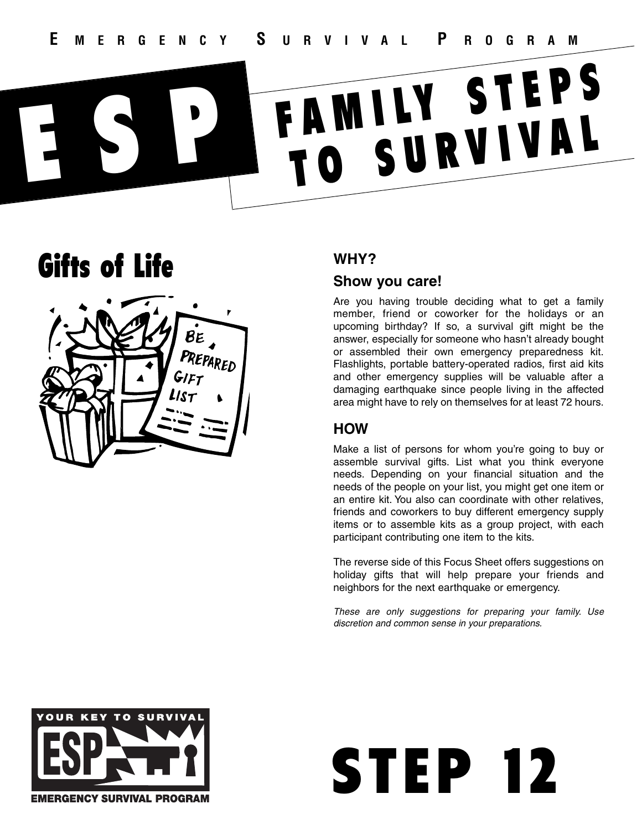# Gifts of Life



# **WHY?**

### **Show you care!**

Are you having trouble deciding what to get a family member, friend or coworker for the holidays or an upcoming birthday? If so, a survival gift might be the answer, especially for someone who hasn't already bought or assembled their own emergency preparedness kit. Flashlights, portable battery-operated radios, first aid kits and other emergency supplies will be valuable after a damaging earthquake since people living in the affected area might have to rely on themselves for at least 72 hours.

## **HOW**

Make a list of persons for whom you're going to buy or assemble survival gifts. List what you think everyone needs. Depending on your financial situation and the needs of the people on your list, you might get one item or an entire kit. You also can coordinate with other relatives, friends and coworkers to buy different emergency supply items or to assemble kits as a group project, with each participant contributing one item to the kits.

The reverse side of this Focus Sheet offers suggestions on holiday gifts that will help prepare your friends and neighbors for the next earthquake or emergency.